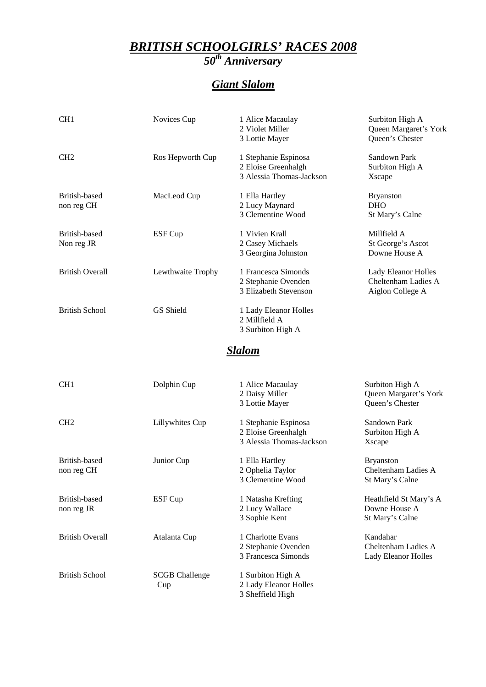#### *BRITISH SCHOOLGIRLS' RACES 2008 50th Anniversary*

# *Giant Slalom*

| CH <sub>1</sub>             | Novices Cup       | 1 Alice Macaulay<br>2 Violet Miller<br>3 Lottie Mayer                   | Surbiton High A<br>Queen Margaret's York<br>Queen's Chester    |
|-----------------------------|-------------------|-------------------------------------------------------------------------|----------------------------------------------------------------|
| CH <sub>2</sub>             | Ros Hepworth Cup  | 1 Stephanie Espinosa<br>2 Eloise Greenhalgh<br>3 Alessia Thomas-Jackson | Sandown Park<br>Surbiton High A<br>Xscape                      |
| British-based<br>non reg CH | MacLeod Cup       | 1 Ella Hartley<br>2 Lucy Maynard<br>3 Clementine Wood                   | <b>Bryanston</b><br><b>DHO</b><br>St Mary's Calne              |
| British-based<br>Non reg JR | ESF Cup           | 1 Vivien Krall<br>2 Casey Michaels<br>3 Georgina Johnston               | Millfield A<br>St George's Ascot<br>Downe House A              |
| <b>British Overall</b>      | Lewthwaite Trophy | 1 Francesca Simonds<br>2 Stephanie Ovenden<br>3 Elizabeth Stevenson     | Lady Eleanor Holles<br>Cheltenham Ladies A<br>Aiglon College A |
| British School              | <b>GS</b> Shield  | 1 Lady Eleanor Holles<br>2 Millfield A<br>3 Surbiton High A             |                                                                |

## *Slalom*

| CH <sub>1</sub>        | Dolphin Cup           | 1 Alice Macaulay<br>2 Daisy Miller | Surbiton High A<br>Queen Margaret's York |
|------------------------|-----------------------|------------------------------------|------------------------------------------|
|                        |                       | 3 Lottie Mayer                     | Queen's Chester                          |
| CH <sub>2</sub>        | Lillywhites Cup       | 1 Stephanie Espinosa               | Sandown Park                             |
|                        |                       | 2 Eloise Greenhalgh                | Surbiton High A                          |
|                        |                       | 3 Alessia Thomas-Jackson           | Xscape                                   |
| British-based          | Junior Cup            | 1 Ella Hartley                     | <b>Bryanston</b>                         |
| non reg CH             |                       | 2 Ophelia Taylor                   | Cheltenham Ladies A                      |
|                        |                       | 3 Clementine Wood                  | St Mary's Calne                          |
| British-based          | ESF Cup               | 1 Natasha Krefting                 | Heathfield St Mary's A                   |
| non reg JR             |                       | 2 Lucy Wallace                     | Downe House A                            |
|                        |                       | 3 Sophie Kent                      | St Mary's Calne                          |
| <b>British Overall</b> | Atalanta Cup          | 1 Charlotte Evans                  | Kandahar                                 |
|                        |                       | 2 Stephanie Ovenden                | Cheltenham Ladies A                      |
|                        |                       | 3 Francesca Simonds                | Lady Eleanor Holles                      |
| <b>British School</b>  | <b>SCGB Challenge</b> | 1 Surbiton High A                  |                                          |
|                        | Cup                   | 2 Lady Eleanor Holles              |                                          |
|                        |                       | 3 Sheffield High                   |                                          |